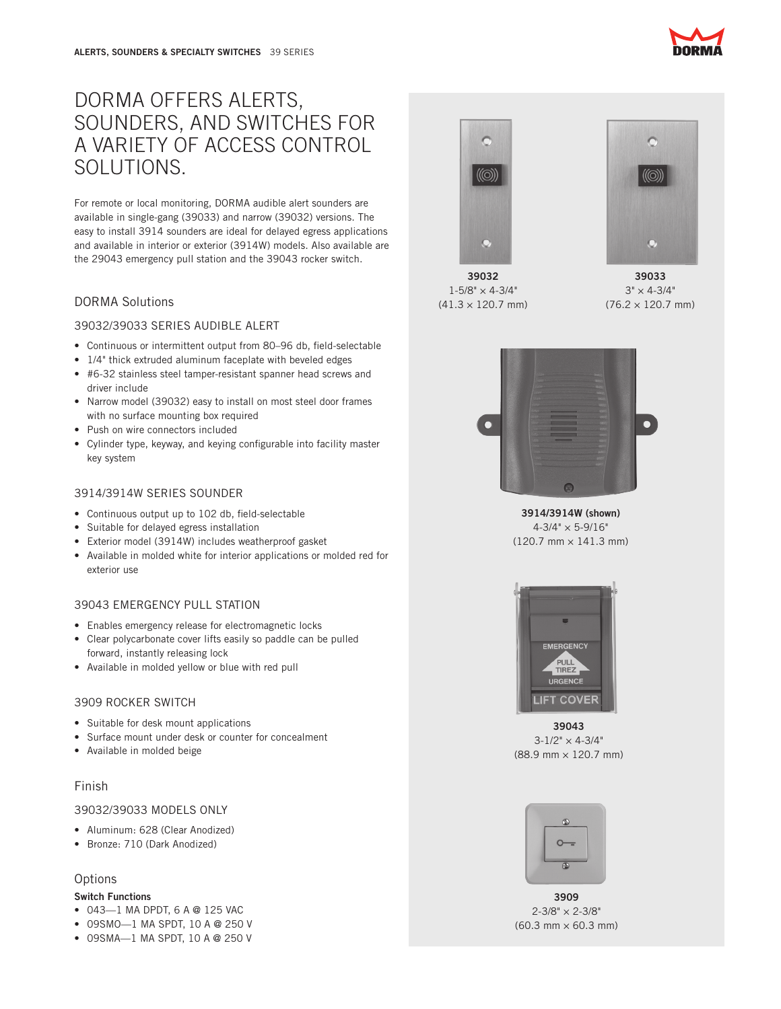# DORMA OFFERS ALERTS, SOUNDERS, AND SWITCHES FOR A VARIETY OF ACCESS CONTROL SOLUTIONS.

For remote or local monitoring, DORMA audible alert sounders are available in single-gang (39033) and narrow (39032) versions. The easy to install 3914 sounders are ideal for delayed egress applications and available in interior or exterior (3914W) models. Also available are the 29043 emergency pull station and the 39043 rocker switch.

## DORMA Solutions

#### 39032/39033 SERIES AUDIBLE ALERT

- Continuous or intermittent output from 80–96 db, field-selectable
- 1/4" thick extruded aluminum faceplate with beveled edges
- #6-32 stainless steel tamper-resistant spanner head screws and driver include
- • Narrow model (39032) easy to install on most steel door frames with no surface mounting box required
- Push on wire connectors included
- Cylinder type, keyway, and keying configurable into facility master key system

### 3914/3914W SERIES SOUNDER

- • Continuous output up to 102 db, field-selectable
- Suitable for delayed egress installation
- • Exterior model (3914W) includes weatherproof gasket
- Available in molded white for interior applications or molded red for exterior use

## 39043 EMERGENCY PULL STATION

- Enables emergency release for electromagnetic locks
- Clear polycarbonate cover lifts easily so paddle can be pulled forward, instantly releasing lock
- • Available in molded yellow or blue with red pull

## 3909 ROCKER SWITCH

- • Suitable for desk mount applications
- • Surface mount under desk or counter for concealment
- • Available in molded beige

## Finish

#### 39032/39033 MODELS ONLY

- • Aluminum: 628 (Clear Anodized)
- • Bronze: 710 (Dark Anodized)

#### **Options**

#### Switch Functions

- 043-1 MA DPDT, 6 A @ 125 VAC
- • 09SMO—1 MA SPDT, 10 A @ 250 V
- • 09SMA—1 MA SPDT, 10 A @ 250 V



39032  $1 - 5/8" \times 4 - 3/4"$  $(41.3 \times 120.7 \text{ mm})$ 



39033  $3" \times 4 - 3/4"$  $(76.2 \times 120.7 \text{ mm})$ 



3914/3914W (shown)  $4 - 3/4" \times 5 - 9/16"$  $(120.7 \, \text{mm} \times 141.3 \, \text{mm})$ 



39043  $3-1/2" \times 4-3/4"$ (88.9 mm × 120.7 mm)



3909 2-3/8" × 2-3/8"  $(60.3 \, \text{mm} \times 60.3 \, \text{mm})$